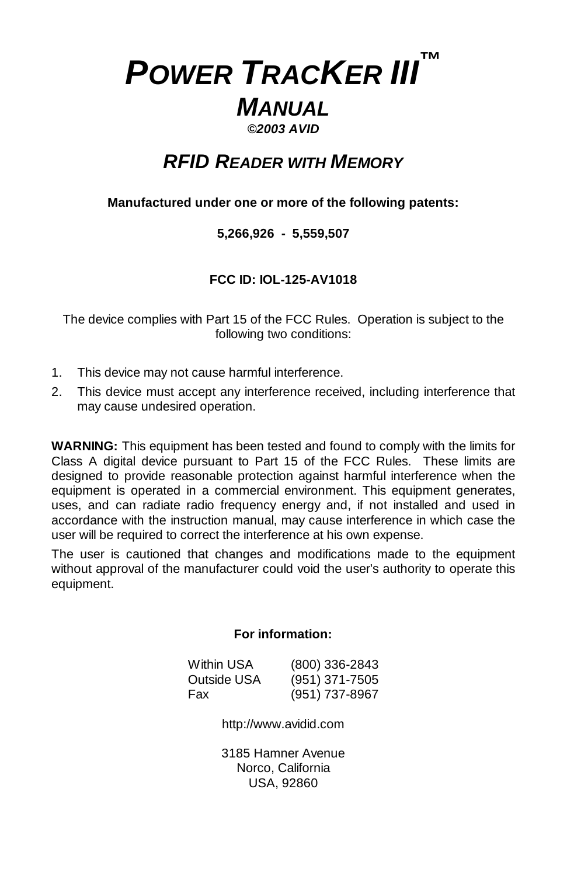# *POWER TRACKER III™ MANUAL ©2003 AVID*

# *RFID READER WITH MEMORY*

# **Manufactured under one or more of the following patents:**

# **5,266,926 - 5,559,507**

# **FCC ID: IOL-125-AV1018**

The device complies with Part 15 of the FCC Rules. Operation is subject to the following two conditions:

- 1. This device may not cause harmful interference.
- 2. This device must accept any interference received, including interference that may cause undesired operation.

**WARNING:** This equipment has been tested and found to comply with the limits for Class A digital device pursuant to Part 15 of the FCC Rules. These limits are designed to provide reasonable protection against harmful interference when the equipment is operated in a commercial environment. This equipment generates, uses, and can radiate radio frequency energy and, if not installed and used in accordance with the instruction manual, may cause interference in which case the user will be required to correct the interference at his own expense.

The user is cautioned that changes and modifications made to the equipment without approval of the manufacturer could void the user's authority to operate this equipment.

# **For information:**

| Within USA  | $(800)$ 336-2843 |
|-------------|------------------|
| Outside USA | $(951)$ 371-7505 |
| Fax         | (951) 737-8967   |

http://www.avidid.com

3185 Hamner Avenue Norco, California USA, 92860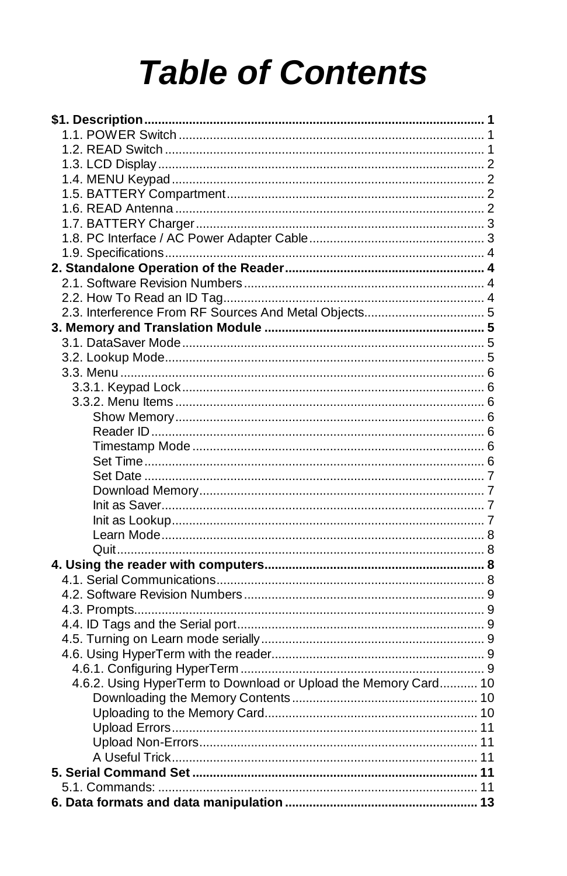# **Table of Contents**

| 4.6.2. Using HyperTerm to Download or Upload the Memory Card 10 |  |
|-----------------------------------------------------------------|--|
|                                                                 |  |
|                                                                 |  |
|                                                                 |  |
|                                                                 |  |
|                                                                 |  |
|                                                                 |  |
|                                                                 |  |
|                                                                 |  |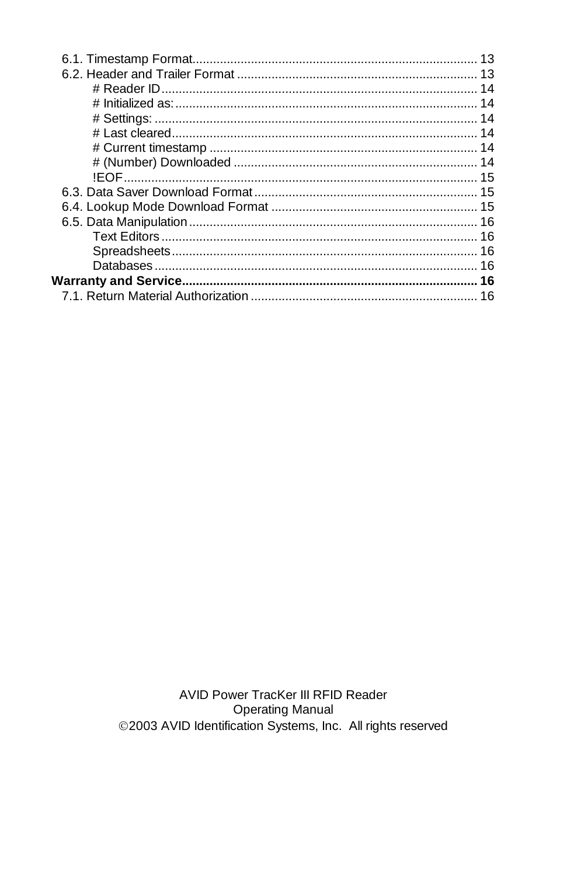AVID Power TracKer III RFID Reader **Operating Manual** ©2003 AVID Identification Systems, Inc. All rights reserved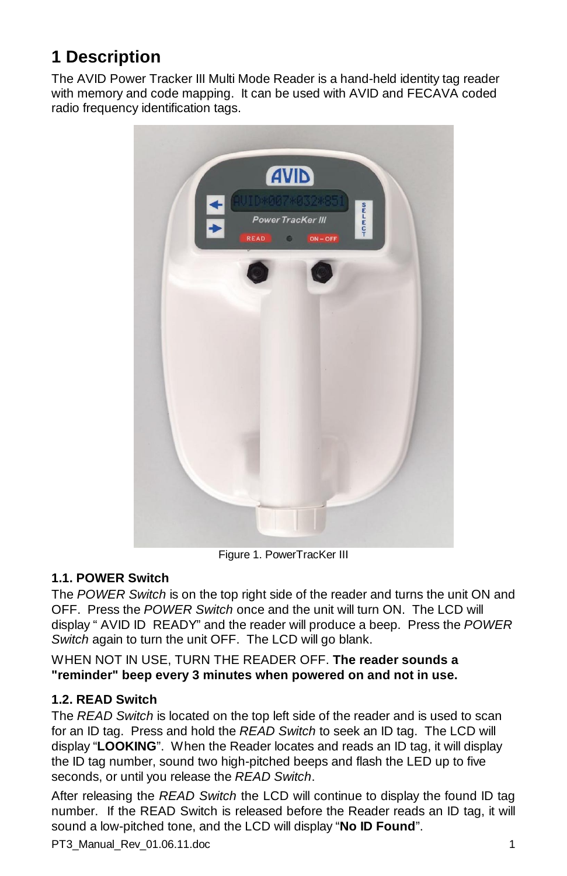# **1 Description**

The AVID Power Tracker III Multi Mode Reader is a hand-held identity tag reader with memory and code mapping. It can be used with AVID and FECAVA coded radio frequency identification tags.



Figure 1. PowerTracKer III

# **1.1. POWER Switch**

The *POWER Switch* is on the top right side of the reader and turns the unit ON and OFF. Press the *POWER Switch* once and the unit will turn ON. The LCD will display " AVID ID READY" and the reader will produce a beep. Press the *POWER Switch* again to turn the unit OFF. The LCD will go blank.

WHEN NOT IN USE, TURN THE READER OFF. **The reader sounds a "reminder" beep every 3 minutes when powered on and not in use.**

# **1.2. READ Switch**

The *READ Switch* is located on the top left side of the reader and is used to scan for an ID tag. Press and hold the *READ Switch* to seek an ID tag. The LCD will display "**LOOKING**". When the Reader locates and reads an ID tag, it will display the ID tag number, sound two high-pitched beeps and flash the LED up to five seconds, or until you release the *READ Switch*.

After releasing the *READ Switch* the LCD will continue to display the found ID tag number. If the READ Switch is released before the Reader reads an ID tag, it will sound a low-pitched tone, and the LCD will display "**No ID Found**".

PT3\_Manual\_Rev\_01.06.11.doc 1 and 1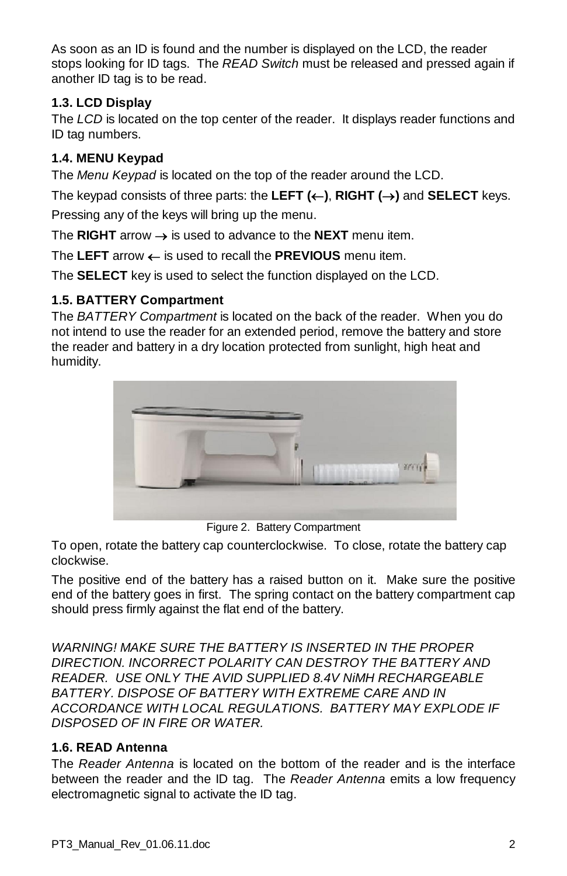As soon as an ID is found and the number is displayed on the LCD, the reader stops looking for ID tags. The *READ Switch* must be released and pressed again if another ID tag is to be read.

# **1.3. LCD Display**

The *LCD* is located on the top center of the reader. It displays reader functions and ID tag numbers.

# **1.4. MENU Keypad**

The *Menu Keypad* is located on the top of the reader around the LCD.

The keypad consists of three parts: the LEFT  $(\leftarrow)$ , RIGHT  $(\rightarrow)$  and SELECT keys.

Pressing any of the keys will bring up the menu.

The **RIGHT** arrow  $\rightarrow$  is used to advance to the **NEXT** menu item.

The LEFT arrow  $\leftarrow$  is used to recall the **PREVIOUS** menu item.

The **SELECT** key is used to select the function displayed on the LCD.

# **1.5. BATTERY Compartment**

The *BATTERY Compartment* is located on the back of the reader. When you do not intend to use the reader for an extended period, remove the battery and store the reader and battery in a dry location protected from sunlight, high heat and humidity.



Figure 2. Battery Compartment

To open, rotate the battery cap counterclockwise. To close, rotate the battery cap clockwise.

The positive end of the battery has a raised button on it. Make sure the positive end of the battery goes in first. The spring contact on the battery compartment cap should press firmly against the flat end of the battery.

*WARNING! MAKE SURE THE BATTERY IS INSERTED IN THE PROPER DIRECTION. INCORRECT POLARITY CAN DESTROY THE BATTERY AND READER. USE ONLY THE AVID SUPPLIED 8.4V NiMH RECHARGEABLE BATTERY. DISPOSE OF BATTERY WITH EXTREME CARE AND IN ACCORDANCE WITH LOCAL REGULATIONS. BATTERY MAY EXPLODE IF DISPOSED OF IN FIRE OR WATER.*

# **1.6. READ Antenna**

The *Reader Antenna* is located on the bottom of the reader and is the interface between the reader and the ID tag. The *Reader Antenna* emits a low frequency electromagnetic signal to activate the ID tag.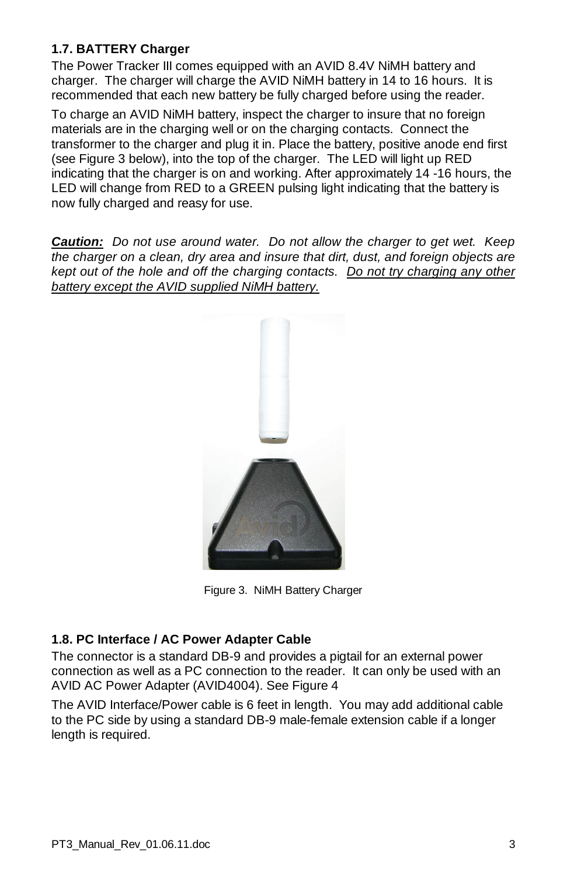# **1.7. BATTERY Charger**

The Power Tracker III comes equipped with an AVID 8.4V NiMH battery and charger. The charger will charge the AVID NiMH battery in 14 to 16 hours. It is recommended that each new battery be fully charged before using the reader.

To charge an AVID NiMH battery, inspect the charger to insure that no foreign materials are in the charging well or on the charging contacts. Connect the transformer to the charger and plug it in. Place the battery, positive anode end first (see Figure 3 below), into the top of the charger. The LED will light up RED indicating that the charger is on and working. After approximately 14 -16 hours, the LED will change from RED to a GREEN pulsing light indicating that the battery is now fully charged and reasy for use.

*Caution: Do not use around water. Do not allow the charger to get wet. Keep the charger on a clean, dry area and insure that dirt, dust, and foreign objects are kept out of the hole and off the charging contacts. Do not try charging any other battery except the AVID supplied NiMH battery.*



Figure 3. NiMH Battery Charger

# **1.8. PC Interface / AC Power Adapter Cable**

The connector is a standard DB-9 and provides a pigtail for an external power connection as well as a PC connection to the reader. It can only be used with an AVID AC Power Adapter (AVID4004). See Figure 4

The AVID Interface/Power cable is 6 feet in length. You may add additional cable to the PC side by using a standard DB-9 male-female extension cable if a longer length is required.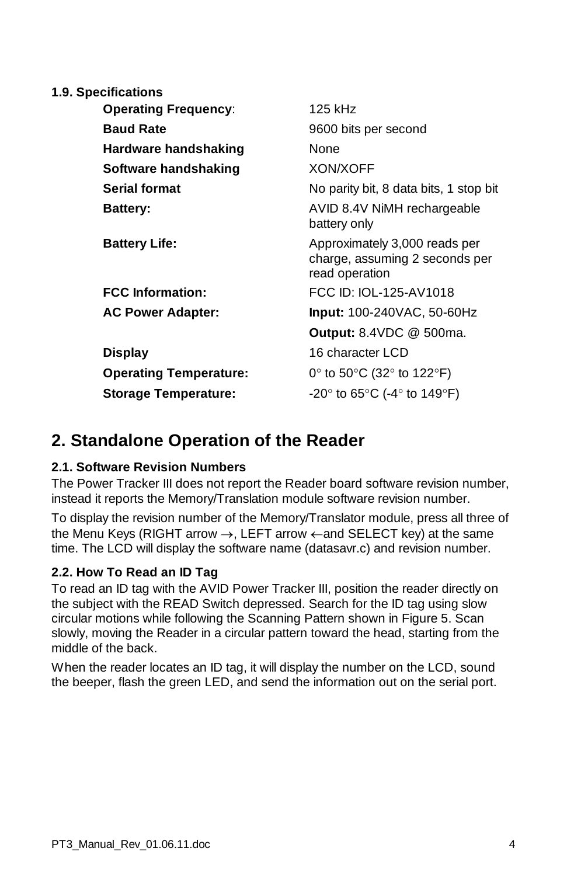| <b>1.9. Specifications</b>    |                                                                                   |
|-------------------------------|-----------------------------------------------------------------------------------|
| <b>Operating Frequency:</b>   | 125 kHz                                                                           |
| <b>Baud Rate</b>              | 9600 bits per second                                                              |
| Hardware handshaking          | None                                                                              |
| Software handshaking          | XON/XOFF                                                                          |
| <b>Serial format</b>          | No parity bit, 8 data bits, 1 stop bit                                            |
| <b>Battery:</b>               | AVID 8.4V NiMH rechargeable<br>battery only                                       |
| <b>Battery Life:</b>          | Approximately 3,000 reads per<br>charge, assuming 2 seconds per<br>read operation |
| <b>FCC Information:</b>       | FCC ID: IOL-125-AV1018                                                            |
| <b>AC Power Adapter:</b>      | $Input: 100-240VAC, 50-60Hz$                                                      |
|                               | <b>Output:</b> 8.4VDC @ 500ma.                                                    |
| <b>Display</b>                | 16 character LCD                                                                  |
| <b>Operating Temperature:</b> | 0° to 50°C (32° to 122°F)                                                         |
| <b>Storage Temperature:</b>   | -20 $\degree$ to 65 $\degree$ C (-4 $\degree$ to 149 $\degree$ F)                 |
|                               |                                                                                   |

# **2. Standalone Operation of the Reader**

# **2.1. Software Revision Numbers**

The Power Tracker III does not report the Reader board software revision number, instead it reports the Memory/Translation module software revision number.

To display the revision number of the Memory/Translator module, press all three of the Menu Keys (RIGHT arrow  $\rightarrow$ , LEFT arrow  $\leftarrow$  and SELECT key) at the same time. The LCD will display the software name (datasavr.c) and revision number.

# **2.2. How To Read an ID Tag**

To read an ID tag with the AVID Power Tracker III, position the reader directly on the subject with the READ Switch depressed. Search for the ID tag using slow circular motions while following the Scanning Pattern shown in Figure 5. Scan slowly, moving the Reader in a circular pattern toward the head, starting from the middle of the back.

When the reader locates an ID tag, it will display the number on the LCD, sound the beeper, flash the green LED, and send the information out on the serial port.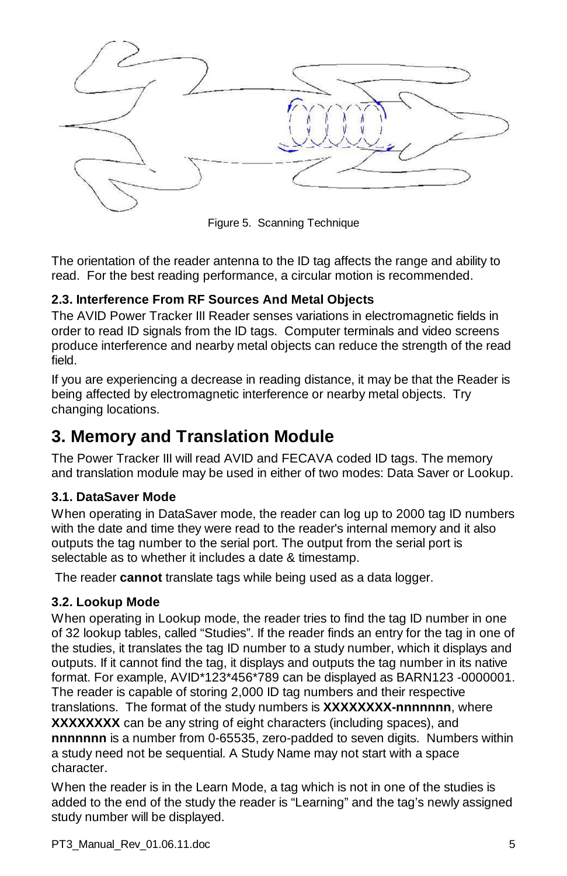

Figure 5. Scanning Technique

The orientation of the reader antenna to the ID tag affects the range and ability to read. For the best reading performance, a circular motion is recommended.

# **2.3. Interference From RF Sources And Metal Objects**

The AVID Power Tracker III Reader senses variations in electromagnetic fields in order to read ID signals from the ID tags. Computer terminals and video screens produce interference and nearby metal objects can reduce the strength of the read field.

If you are experiencing a decrease in reading distance, it may be that the Reader is being affected by electromagnetic interference or nearby metal objects. Try changing locations.

# **3. Memory and Translation Module**

The Power Tracker III will read AVID and FECAVA coded ID tags. The memory and translation module may be used in either of two modes: Data Saver or Lookup.

# **3.1. DataSaver Mode**

When operating in DataSaver mode, the reader can log up to 2000 tag ID numbers with the date and time they were read to the reader's internal memory and it also outputs the tag number to the serial port. The output from the serial port is selectable as to whether it includes a date & timestamp.

The reader **cannot** translate tags while being used as a data logger.

# **3.2. Lookup Mode**

When operating in Lookup mode, the reader tries to find the tag ID number in one of 32 lookup tables, called "Studies". If the reader finds an entry for the tag in one of the studies, it translates the tag ID number to a study number, which it displays and outputs. If it cannot find the tag, it displays and outputs the tag number in its native format. For example, AVID\*123\*456\*789 can be displayed as BARN123 -0000001. The reader is capable of storing 2,000 ID tag numbers and their respective translations. The format of the study numbers is **XXXXXXXX-nnnnnnn**, where **XXXXXXXX** can be any string of eight characters (including spaces), and **nnnnnnn** is a number from 0-65535, zero-padded to seven digits. Numbers within a study need not be sequential. A Study Name may not start with a space character.

When the reader is in the Learn Mode, a tag which is not in one of the studies is added to the end of the study the reader is "Learning" and the tag's newly assigned study number will be displayed.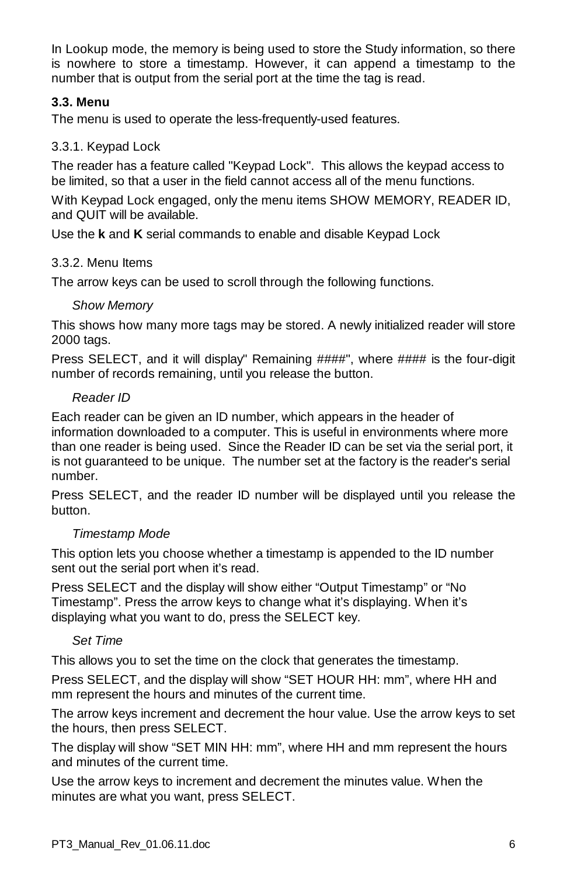In Lookup mode, the memory is being used to store the Study information, so there is nowhere to store a timestamp. However, it can append a timestamp to the number that is output from the serial port at the time the tag is read.

# **3.3. Menu**

The menu is used to operate the less-frequently-used features.

# 3.3.1. Keypad Lock

The reader has a feature called "Keypad Lock". This allows the keypad access to be limited, so that a user in the field cannot access all of the menu functions.

With Keypad Lock engaged, only the menu items SHOW MEMORY, READER ID, and QUIT will be available.

Use the **k** and **K** serial commands to enable and disable Keypad Lock

# 3.3.2. Menu Items

The arrow keys can be used to scroll through the following functions.

# *Show Memory*

This shows how many more tags may be stored. A newly initialized reader will store 2000 tags.

Press SELECT, and it will display" Remaining ####", where #### is the four-digit number of records remaining, until you release the button.

# *Reader ID*

Each reader can be given an ID number, which appears in the header of information downloaded to a computer. This is useful in environments where more than one reader is being used. Since the Reader ID can be set via the serial port, it is not guaranteed to be unique. The number set at the factory is the reader's serial number.

Press SELECT, and the reader ID number will be displayed until you release the button.

# *Timestamp Mode*

This option lets you choose whether a timestamp is appended to the ID number sent out the serial port when it's read.

Press SELECT and the display will show either "Output Timestamp" or "No Timestamp". Press the arrow keys to change what it's displaying. When it's displaying what you want to do, press the SELECT key.

# *Set Time*

This allows you to set the time on the clock that generates the timestamp.

Press SELECT, and the display will show "SET HOUR HH: mm", where HH and mm represent the hours and minutes of the current time.

The arrow keys increment and decrement the hour value. Use the arrow keys to set the hours, then press SELECT.

The display will show "SET MIN HH: mm", where HH and mm represent the hours and minutes of the current time.

Use the arrow keys to increment and decrement the minutes value. When the minutes are what you want, press SELECT.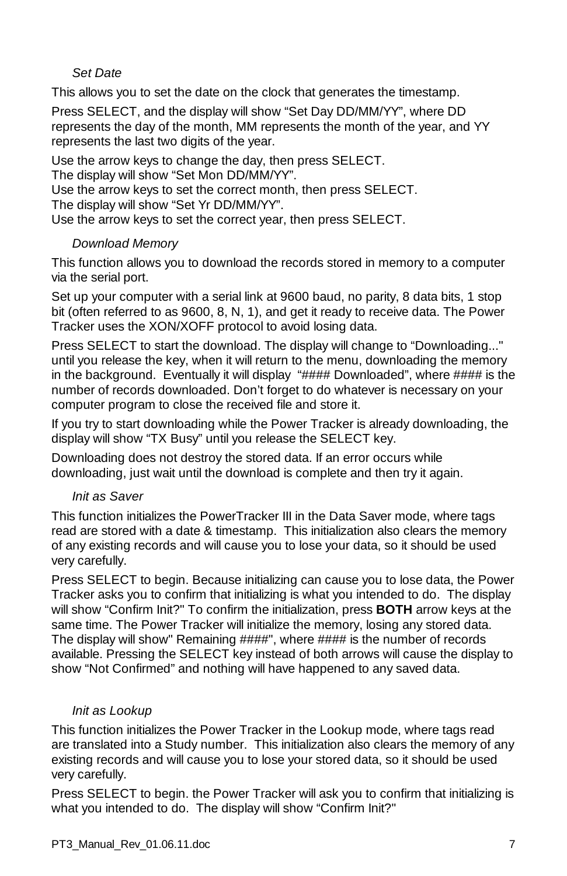# *Set Date*

This allows you to set the date on the clock that generates the timestamp.

Press SELECT, and the display will show "Set Day DD/MM/YY", where DD represents the day of the month, MM represents the month of the year, and YY represents the last two digits of the year.

Use the arrow keys to change the day, then press SELECT.

The display will show "Set Mon DD/MM/YY".

Use the arrow keys to set the correct month, then press SELECT.

The display will show "Set Yr DD/MM/YY".

Use the arrow keys to set the correct year, then press SELECT.

# *Download Memory*

This function allows you to download the records stored in memory to a computer via the serial port.

Set up your computer with a serial link at 9600 baud, no parity, 8 data bits, 1 stop bit (often referred to as 9600, 8, N, 1), and get it ready to receive data. The Power Tracker uses the XON/XOFF protocol to avoid losing data.

Press SELECT to start the download. The display will change to "Downloading..." until you release the key, when it will return to the menu, downloading the memory in the background. Eventually it will display "#### Downloaded", where #### is the number of records downloaded. Don't forget to do whatever is necessary on your computer program to close the received file and store it.

If you try to start downloading while the Power Tracker is already downloading, the display will show "TX Busy" until you release the SELECT key.

Downloading does not destroy the stored data. If an error occurs while downloading, just wait until the download is complete and then try it again.

# *Init as Saver*

This function initializes the PowerTracker III in the Data Saver mode, where tags read are stored with a date & timestamp. This initialization also clears the memory of any existing records and will cause you to lose your data, so it should be used very carefully.

Press SELECT to begin. Because initializing can cause you to lose data, the Power Tracker asks you to confirm that initializing is what you intended to do. The display will show "Confirm Init?" To confirm the initialization, press **BOTH** arrow keys at the same time. The Power Tracker will initialize the memory, losing any stored data. The display will show" Remaining ####", where #### is the number of records available. Pressing the SELECT key instead of both arrows will cause the display to show "Not Confirmed" and nothing will have happened to any saved data.

# *Init as Lookup*

This function initializes the Power Tracker in the Lookup mode, where tags read are translated into a Study number. This initialization also clears the memory of any existing records and will cause you to lose your stored data, so it should be used very carefully.

Press SELECT to begin. the Power Tracker will ask you to confirm that initializing is what you intended to do. The display will show "Confirm Init?"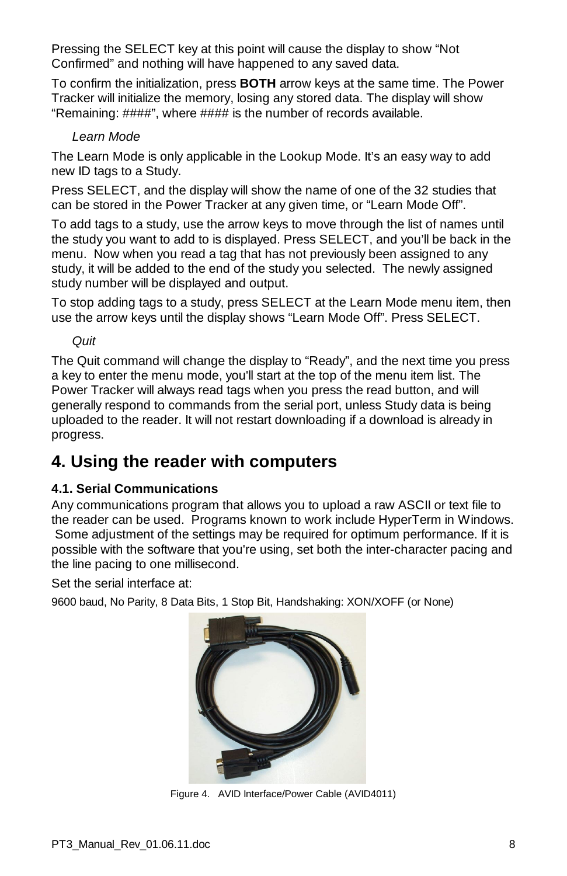Pressing the SELECT key at this point will cause the display to show "Not Confirmed" and nothing will have happened to any saved data.

To confirm the initialization, press **BOTH** arrow keys at the same time. The Power Tracker will initialize the memory, losing any stored data. The display will show "Remaining: ####", where #### is the number of records available.

#### *Learn Mode*

The Learn Mode is only applicable in the Lookup Mode. It's an easy way to add new ID tags to a Study.

Press SELECT, and the display will show the name of one of the 32 studies that can be stored in the Power Tracker at any given time, or "Learn Mode Off".

To add tags to a study, use the arrow keys to move through the list of names until the study you want to add to is displayed. Press SELECT, and you'll be back in the menu. Now when you read a tag that has not previously been assigned to any study, it will be added to the end of the study you selected. The newly assigned study number will be displayed and output.

To stop adding tags to a study, press SELECT at the Learn Mode menu item, then use the arrow keys until the display shows "Learn Mode Off". Press SELECT.

*Quit*

The Quit command will change the display to "Ready", and the next time you press a key to enter the menu mode, you'll start at the top of the menu item list. The Power Tracker will always read tags when you press the read button, and will generally respond to commands from the serial port, unless Study data is being uploaded to the reader. It will not restart downloading if a download is already in progress.

# **4. Using the reader with computers**

# **4.1. Serial Communications**

Any communications program that allows you to upload a raw ASCII or text file to the reader can be used. Programs known to work include HyperTerm in Windows. Some adjustment of the settings may be required for optimum performance. If it is possible with the software that you're using, set both the inter-character pacing and the line pacing to one millisecond.

Set the serial interface at:

9600 baud, No Parity, 8 Data Bits, 1 Stop Bit, Handshaking: XON/XOFF (or None)



Figure 4. AVID Interface/Power Cable (AVID4011)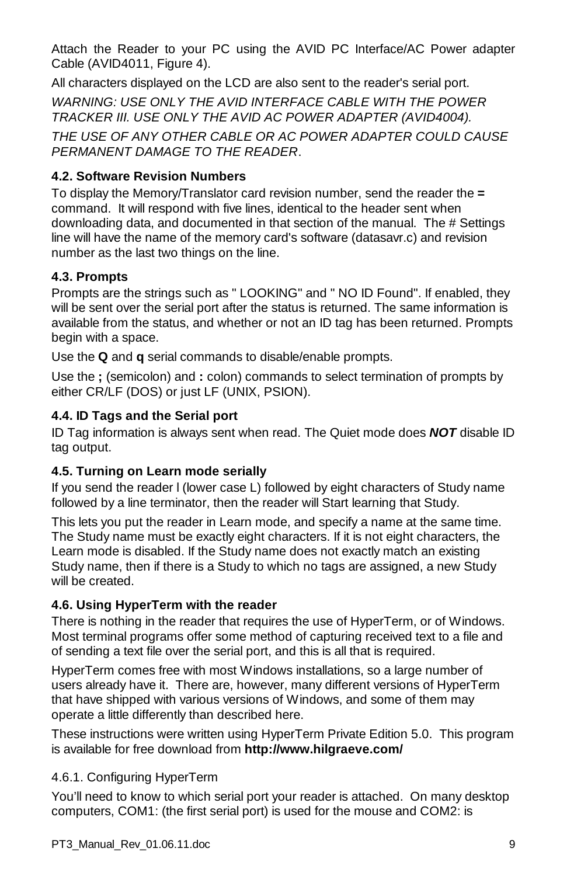Attach the Reader to your PC using the AVID PC Interface/AC Power adapter Cable (AVID4011, Figure 4).

All characters displayed on the LCD are also sent to the reader's serial port.

*WARNING: USE ONLY THE AVID INTERFACE CABLE WITH THE POWER TRACKER III. USE ONLY THE AVID AC POWER ADAPTER (AVID4004).* 

*THE USE OF ANY OTHER CABLE OR AC POWER ADAPTER COULD CAUSE PERMANENT DAMAGE TO THE READER*.

# **4.2. Software Revision Numbers**

To display the Memory/Translator card revision number, send the reader the **=** command. It will respond with five lines, identical to the header sent when downloading data, and documented in that section of the manual. The # Settings line will have the name of the memory card's software (datasavr.c) and revision number as the last two things on the line.

# **4.3. Prompts**

Prompts are the strings such as " LOOKING" and " NO ID Found". If enabled, they will be sent over the serial port after the status is returned. The same information is available from the status, and whether or not an ID tag has been returned. Prompts begin with a space.

Use the **Q** and **q** serial commands to disable/enable prompts.

Use the **;** (semicolon) and **:** colon) commands to select termination of prompts by either CR/LF (DOS) or just LF (UNIX, PSION).

# **4.4. ID Tags and the Serial port**

ID Tag information is always sent when read. The Quiet mode does *NOT* disable ID tag output.

# **4.5. Turning on Learn mode serially**

If you send the reader l (lower case L) followed by eight characters of Study name followed by a line terminator, then the reader will Start learning that Study.

This lets you put the reader in Learn mode, and specify a name at the same time. The Study name must be exactly eight characters. If it is not eight characters, the Learn mode is disabled. If the Study name does not exactly match an existing Study name, then if there is a Study to which no tags are assigned, a new Study will be created.

# **4.6. Using HyperTerm with the reader**

There is nothing in the reader that requires the use of HyperTerm, or of Windows. Most terminal programs offer some method of capturing received text to a file and of sending a text file over the serial port, and this is all that is required.

HyperTerm comes free with most Windows installations, so a large number of users already have it. There are, however, many different versions of HyperTerm that have shipped with various versions of Windows, and some of them may operate a little differently than described here.

These instructions were written using HyperTerm Private Edition 5.0. This program is available for free download from **http://www.hilgraeve.com/** 

# 4.6.1. Configuring HyperTerm

You'll need to know to which serial port your reader is attached. On many desktop computers, COM1: (the first serial port) is used for the mouse and COM2: is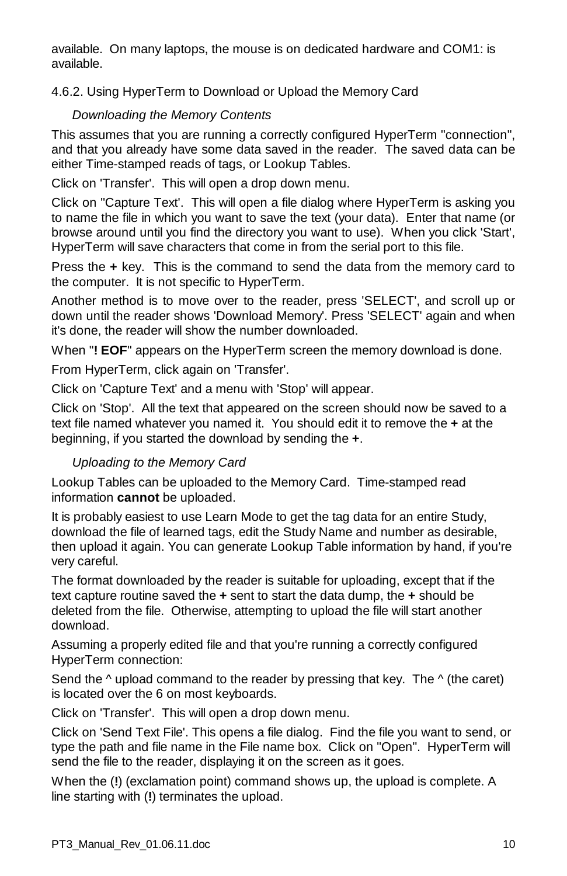available. On many laptops, the mouse is on dedicated hardware and COM1: is available.

# 4.6.2. Using HyperTerm to Download or Upload the Memory Card

# *Downloading the Memory Contents*

This assumes that you are running a correctly configured HyperTerm "connection", and that you already have some data saved in the reader. The saved data can be either Time-stamped reads of tags, or Lookup Tables.

Click on 'Transfer'. This will open a drop down menu.

Click on "Capture Text'. This will open a file dialog where HyperTerm is asking you to name the file in which you want to save the text (your data). Enter that name (or browse around until you find the directory you want to use). When you click 'Start', HyperTerm will save characters that come in from the serial port to this file.

Press the **+** key. This is the command to send the data from the memory card to the computer. It is not specific to HyperTerm.

Another method is to move over to the reader, press 'SELECT', and scroll up or down until the reader shows 'Download Memory'. Press 'SELECT' again and when it's done, the reader will show the number downloaded.

When "**! EOF**" appears on the HyperTerm screen the memory download is done.

From HyperTerm, click again on 'Transfer'.

Click on 'Capture Text' and a menu with 'Stop' will appear.

Click on 'Stop'. All the text that appeared on the screen should now be saved to a text file named whatever you named it. You should edit it to remove the **+** at the beginning, if you started the download by sending the **+**.

# *Uploading to the Memory Card*

Lookup Tables can be uploaded to the Memory Card. Time-stamped read information **cannot** be uploaded.

It is probably easiest to use Learn Mode to get the tag data for an entire Study, download the file of learned tags, edit the Study Name and number as desirable, then upload it again. You can generate Lookup Table information by hand, if you're very careful.

The format downloaded by the reader is suitable for uploading, except that if the text capture routine saved the **+** sent to start the data dump, the **+** should be deleted from the file. Otherwise, attempting to upload the file will start another download.

Assuming a properly edited file and that you're running a correctly configured HyperTerm connection:

Send the  $\land$  upload command to the reader by pressing that key. The  $\land$  (the caret) is located over the 6 on most keyboards.

Click on 'Transfer'. This will open a drop down menu.

Click on 'Send Text File'. This opens a file dialog. Find the file you want to send, or type the path and file name in the File name box. Click on "Open". HyperTerm will send the file to the reader, displaying it on the screen as it goes.

When the (**!**) (exclamation point) command shows up, the upload is complete. A line starting with (**!**) terminates the upload.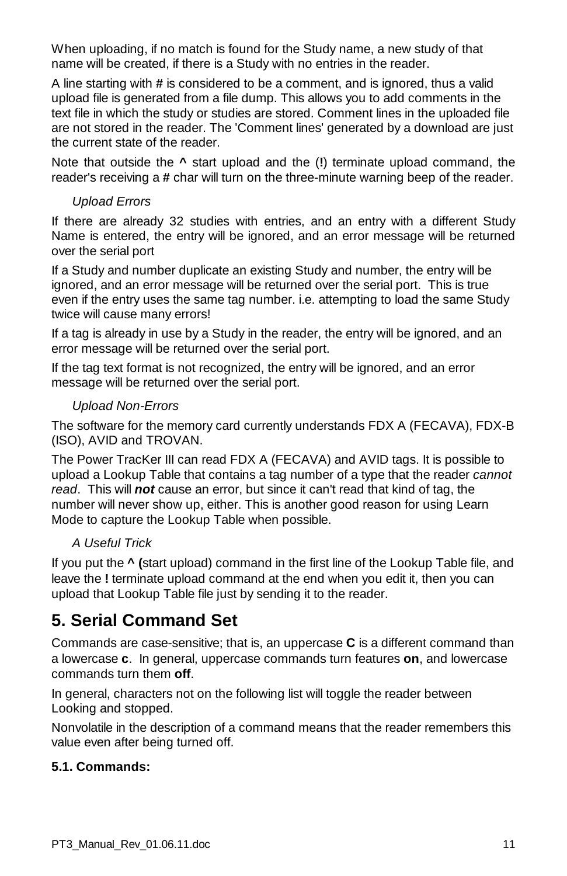When uploading, if no match is found for the Study name, a new study of that name will be created, if there is a Study with no entries in the reader.

A line starting with **#** is considered to be a comment, and is ignored, thus a valid upload file is generated from a file dump. This allows you to add comments in the text file in which the study or studies are stored. Comment lines in the uploaded file are not stored in the reader. The 'Comment lines' generated by a download are just the current state of the reader.

Note that outside the **^** start upload and the (**!**) terminate upload command, the reader's receiving a **#** char will turn on the three-minute warning beep of the reader.

# *Upload Errors*

If there are already 32 studies with entries, and an entry with a different Study Name is entered, the entry will be ignored, and an error message will be returned over the serial port

If a Study and number duplicate an existing Study and number, the entry will be ignored, and an error message will be returned over the serial port. This is true even if the entry uses the same tag number. i.e. attempting to load the same Study twice will cause many errors!

If a tag is already in use by a Study in the reader, the entry will be ignored, and an error message will be returned over the serial port.

If the tag text format is not recognized, the entry will be ignored, and an error message will be returned over the serial port.

# *Upload Non-Errors*

The software for the memory card currently understands FDX A (FECAVA), FDX-B (ISO), AVID and TROVAN.

The Power TracKer III can read FDX A (FECAVA) and AVID tags. It is possible to upload a Lookup Table that contains a tag number of a type that the reader *cannot read*. This will *not* cause an error, but since it can't read that kind of tag, the number will never show up, either. This is another good reason for using Learn Mode to capture the Lookup Table when possible.

# *A Useful Trick*

If you put the **^ (**start upload) command in the first line of the Lookup Table file, and leave the **!** terminate upload command at the end when you edit it, then you can upload that Lookup Table file just by sending it to the reader.

# **5. Serial Command Set**

Commands are case-sensitive; that is, an uppercase **C** is a different command than a lowercase **c**. In general, uppercase commands turn features **on**, and lowercase commands turn them **off**.

In general, characters not on the following list will toggle the reader between Looking and stopped.

Nonvolatile in the description of a command means that the reader remembers this value even after being turned off.

# **5.1. Commands:**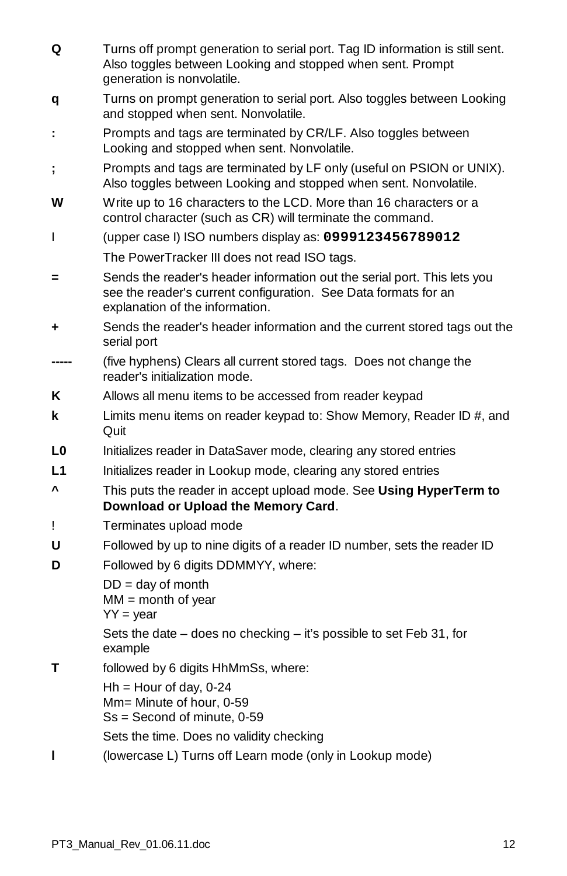| Q  | Turns off prompt generation to serial port. Tag ID information is still sent.<br>Also toggles between Looking and stopped when sent. Prompt<br>generation is nonvolatile.      |
|----|--------------------------------------------------------------------------------------------------------------------------------------------------------------------------------|
| q  | Turns on prompt generation to serial port. Also toggles between Looking<br>and stopped when sent. Nonvolatile.                                                                 |
| ÷  | Prompts and tags are terminated by CR/LF. Also toggles between<br>Looking and stopped when sent. Nonvolatile.                                                                  |
| ;  | Prompts and tags are terminated by LF only (useful on PSION or UNIX).<br>Also toggles between Looking and stopped when sent. Nonvolatile.                                      |
| w  | Write up to 16 characters to the LCD. More than 16 characters or a<br>control character (such as CR) will terminate the command.                                               |
| L  | (upper case I) ISO numbers display as: 0999123456789012                                                                                                                        |
|    | The PowerTracker III does not read ISO tags.                                                                                                                                   |
| Ξ  | Sends the reader's header information out the serial port. This lets you<br>see the reader's current configuration. See Data formats for an<br>explanation of the information. |
| ٠  | Sends the reader's header information and the current stored tags out the<br>serial port                                                                                       |
|    | (five hyphens) Clears all current stored tags. Does not change the<br>reader's initialization mode.                                                                            |
| Κ  | Allows all menu items to be accessed from reader keypad                                                                                                                        |
| k  | Limits menu items on reader keypad to: Show Memory, Reader ID #, and<br>Quit                                                                                                   |
| L0 | Initializes reader in DataSaver mode, clearing any stored entries                                                                                                              |
| L1 | Initializes reader in Lookup mode, clearing any stored entries                                                                                                                 |
| v  | This puts the reader in accept upload mode. See Using HyperTerm to<br>Download or Upload the Memory Card.                                                                      |
| Ţ  | Terminates upload mode                                                                                                                                                         |
| U  | Followed by up to nine digits of a reader ID number, sets the reader ID                                                                                                        |
| D  | Followed by 6 digits DDMMYY, where:                                                                                                                                            |
|    | $DD = day of month$<br>$MM = month of year$<br>$YY = year$                                                                                                                     |
|    | Sets the date - does no checking - it's possible to set Feb 31, for<br>example                                                                                                 |
| Т  | followed by 6 digits HhMmSs, where:                                                                                                                                            |
|    | $Hh =$ Hour of day, 0-24<br>Mm= Minute of hour, 0-59<br>$Ss = Second of minute, 0-59$                                                                                          |
|    | Sets the time. Does no validity checking                                                                                                                                       |
| ı  | (lowercase L) Turns off Learn mode (only in Lookup mode)                                                                                                                       |
|    |                                                                                                                                                                                |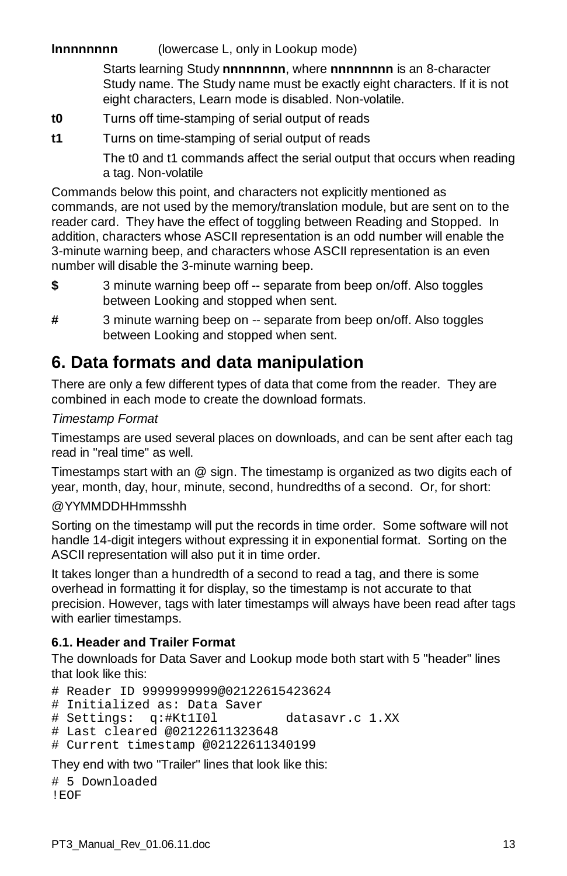# **Innnnnnnn** (lowercase L, only in Lookup mode)

Starts learning Study **nnnnnnnn**, where **nnnnnnnn** is an 8-character Study name. The Study name must be exactly eight characters. If it is not eight characters, Learn mode is disabled. Non-volatile.

- **t0** Turns off time-stamping of serial output of reads
- **t1** Turns on time-stamping of serial output of reads

The t0 and t1 commands affect the serial output that occurs when reading a tag. Non-volatile

Commands below this point, and characters not explicitly mentioned as commands, are not used by the memory/translation module, but are sent on to the reader card. They have the effect of toggling between Reading and Stopped. In addition, characters whose ASCII representation is an odd number will enable the 3-minute warning beep, and characters whose ASCII representation is an even number will disable the 3-minute warning beep.

- **\$** 3 minute warning beep off -- separate from beep on/off. Also toggles between Looking and stopped when sent.
- **#** 3 minute warning beep on -- separate from beep on/off. Also toggles between Looking and stopped when sent.

# **6. Data formats and data manipulation**

There are only a few different types of data that come from the reader. They are combined in each mode to create the download formats.

# *Timestamp Format*

Timestamps are used several places on downloads, and can be sent after each tag read in "real time" as well.

Timestamps start with an @ sign. The timestamp is organized as two digits each of year, month, day, hour, minute, second, hundredths of a second. Or, for short:

# @YYMMDDHHmmsshh

Sorting on the timestamp will put the records in time order. Some software will not handle 14-digit integers without expressing it in exponential format. Sorting on the ASCII representation will also put it in time order.

It takes longer than a hundredth of a second to read a tag, and there is some overhead in formatting it for display, so the timestamp is not accurate to that precision. However, tags with later timestamps will always have been read after tags with earlier timestamps.

# **6.1. Header and Trailer Format**

The downloads for Data Saver and Lookup mode both start with 5 "header" lines that look like this:

# Reader ID 9999999999@02122615423624

# Initialized as: Data Saver

```
# Settings: q:#Kt1I0l datasavr.c 1.XX
```

```
# Last cleared @02122611323648
```

```
# Current timestamp @02122611340199
```
They end with two "Trailer" lines that look like this:

```
# 5 Downloaded
!EOF
```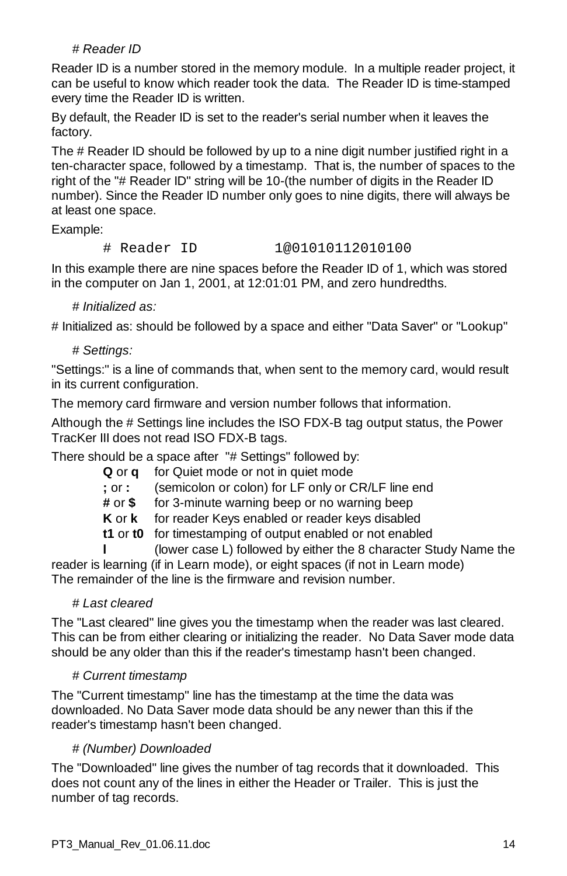# *# Reader ID*

Reader ID is a number stored in the memory module. In a multiple reader project, it can be useful to know which reader took the data. The Reader ID is time-stamped every time the Reader ID is written.

By default, the Reader ID is set to the reader's serial number when it leaves the factory.

The # Reader ID should be followed by up to a nine digit number justified right in a ten-character space, followed by a timestamp. That is, the number of spaces to the right of the "# Reader ID" string will be 10-(the number of digits in the Reader ID number). Since the Reader ID number only goes to nine digits, there will always be at least one space.

Example:

#### # Reader ID 1@01010112010100

In this example there are nine spaces before the Reader ID of 1, which was stored in the computer on Jan 1, 2001, at 12:01:01 PM, and zero hundredths.

#### *# Initialized as:*

# Initialized as: should be followed by a space and either "Data Saver" or "Lookup"

# *# Settings:*

"Settings:" is a line of commands that, when sent to the memory card, would result in its current configuration.

The memory card firmware and version number follows that information.

Although the # Settings line includes the ISO FDX-B tag output status, the Power TracKer III does not read ISO FDX-B tags.

There should be a space after "# Settings" followed by:

| Qora       | for Quiet mode or not in quiet mode                |
|------------|----------------------------------------------------|
| $:$ or $:$ | (semicolon or colon) for LF only or CR/LF line end |
| # or \$    | for 3-minute warning beep or no warning beep       |

**K** or **k** for reader Keys enabled or reader keys disabled

**t1** or **t0** for timestamping of output enabled or not enabled

**l** (lower case L) followed by either the 8 character Study Name the reader is learning (if in Learn mode), or eight spaces (if not in Learn mode) The remainder of the line is the firmware and revision number.

# *# Last cleared*

The "Last cleared" line gives you the timestamp when the reader was last cleared. This can be from either clearing or initializing the reader. No Data Saver mode data should be any older than this if the reader's timestamp hasn't been changed.

#### *# Current timestamp*

The "Current timestamp" line has the timestamp at the time the data was downloaded. No Data Saver mode data should be any newer than this if the reader's timestamp hasn't been changed.

# *# (Number) Downloaded*

The "Downloaded" line gives the number of tag records that it downloaded. This does not count any of the lines in either the Header or Trailer. This is just the number of tag records.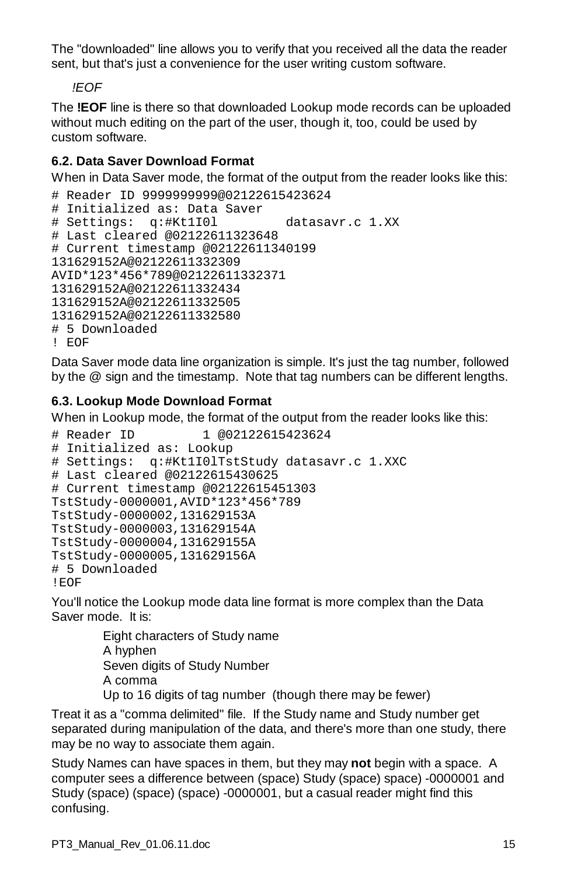The "downloaded" line allows you to verify that you received all the data the reader sent. but that's just a convenience for the user writing custom software.

*!EOF*

The **!EOF** line is there so that downloaded Lookup mode records can be uploaded without much editing on the part of the user, though it, too, could be used by custom software.

# **6.2. Data Saver Download Format**

When in Data Saver mode, the format of the output from the reader looks like this:

```
# Reader ID 9999999999@02122615423624
# Initialized as: Data Saver
# Settings: q:#Kt1I0l datasavr.c 1.XX
# Last cleared @02122611323648
# Current timestamp @02122611340199
131629152A@02122611332309
AVID*123*456*789@02122611332371
131629152A@02122611332434
131629152A@02122611332505
131629152A@02122611332580
# 5 Downloaded
! EOF
```
Data Saver mode data line organization is simple. It's just the tag number, followed by the @ sign and the timestamp. Note that tag numbers can be different lengths.

# **6.3. Lookup Mode Download Format**

When in Lookup mode, the format of the output from the reader looks like this:

```
# Reader ID 1 @02122615423624
# Initialized as: Lookup
# Settings: q:#Kt1I0lTstStudy datasavr.c 1.XXC
# Last cleared @02122615430625
# Current timestamp @02122615451303
TstStudy-0000001,AVID*123*456*789
TstStudy-0000002,131629153A
TstStudy-0000003,131629154A
TstStudy-0000004,131629155A
TstStudy-0000005,131629156A
# 5 Downloaded
!EOF
```
You'll notice the Lookup mode data line format is more complex than the Data Saver mode. It is:

> Eight characters of Study name A hyphen Seven digits of Study Number A comma Up to 16 digits of tag number (though there may be fewer)

Treat it as a "comma delimited" file. If the Study name and Study number get separated during manipulation of the data, and there's more than one study, there may be no way to associate them again.

Study Names can have spaces in them, but they may **not** begin with a space. A computer sees a difference between (space) Study (space) space) -0000001 and Study (space) (space) (space) -0000001, but a casual reader might find this confusing.